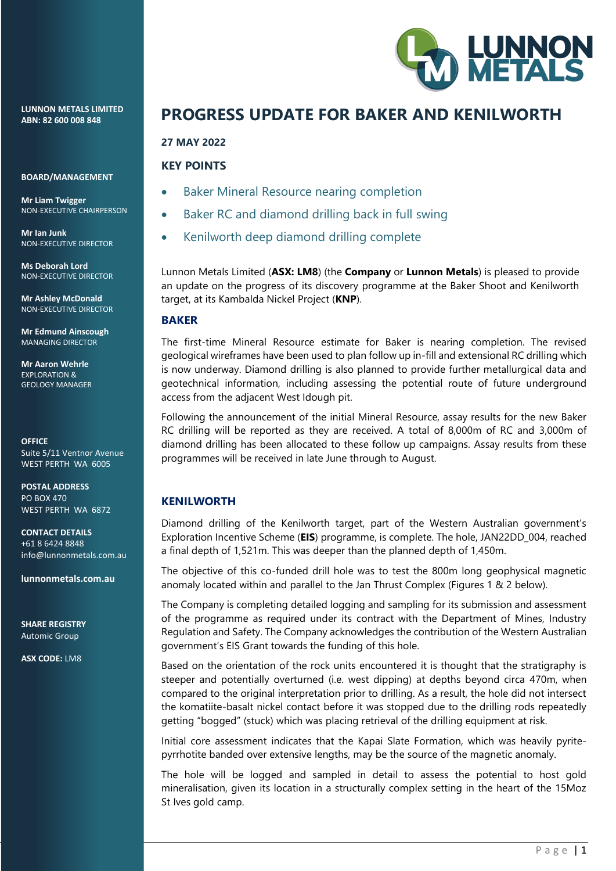**LUNNON METALS LIMITED ABN: 82 600 008 848** 

**BOARD/MANAGEMENT** 

**Mr Liam Twigger**  NON-EXECUTIVE CHAIRPERSON

**Mr Ian Junk**  NON-EXECUTIVE DIRECTOR

**Ms Deborah Lord** NON-EXECUTIVE DIRECTOR

**Mr Ashley McDonald**  NON-EXECUTIVE DIRECTOR

**Mr Edmund Ainscough**  MANAGING DIRECTOR

**Mr Aaron Wehrle EXPLORATION &** GEOLOGY MANAGER

**OFFICE** Suite 5/11 Ventnor Avenue WEST PERTH WA 6005

**POSTAL ADDRESS** PO BOX 470 WEST PERTH WA 6872

**CONTACT DETAILS** +61 8 6424 8848 info@lunnonmetals.com.au

**lunnonmetals.com.au**

**SHARE REGISTRY** Automic Group

**ASX CODE:** LM8



# **PROGRESS UPDATE FOR BAKER AND KENILWORTH**

#### **27 MAY 2022**

## **KEY POINTS**

- Baker Mineral Resource nearing completion
- Baker RC and diamond drilling back in full swing
- Kenilworth deep diamond drilling complete

Lunnon Metals Limited (**ASX: LM8**) (the **Company** or **Lunnon Metals**) is pleased to provide an update on the progress of its discovery programme at the Baker Shoot and Kenilworth target, at its Kambalda Nickel Project (**KNP**).

#### **BAKER**

The first-time Mineral Resource estimate for Baker is nearing completion. The revised geological wireframes have been used to plan follow up in-fill and extensional RC drilling which is now underway. Diamond drilling is also planned to provide further metallurgical data and geotechnical information, including assessing the potential route of future underground access from the adjacent West Idough pit.

Following the announcement of the initial Mineral Resource, assay results for the new Baker RC drilling will be reported as they are received. A total of 8,000m of RC and 3,000m of diamond drilling has been allocated to these follow up campaigns. Assay results from these programmes will be received in late June through to August.

## **KENILWORTH**

Diamond drilling of the Kenilworth target, part of the Western Australian government's Exploration Incentive Scheme (**EIS**) programme, is complete. The hole, JAN22DD\_004, reached a final depth of 1,521m. This was deeper than the planned depth of 1,450m.

The objective of this co-funded drill hole was to test the 800m long geophysical magnetic anomaly located within and parallel to the Jan Thrust Complex (Figures 1 & 2 below).

The Company is completing detailed logging and sampling for its submission and assessment of the programme as required under its contract with the Department of Mines, Industry Regulation and Safety. The Company acknowledges the contribution of the Western Australian government's EIS Grant towards the funding of this hole.

Based on the orientation of the rock units encountered it is thought that the stratigraphy is steeper and potentially overturned (i.e. west dipping) at depths beyond circa 470m, when compared to the original interpretation prior to drilling. As a result, the hole did not intersect the komatiite-basalt nickel contact before it was stopped due to the drilling rods repeatedly getting "bogged" (stuck) which was placing retrieval of the drilling equipment at risk.

Initial core assessment indicates that the Kapai Slate Formation, which was heavily pyritepyrrhotite banded over extensive lengths, may be the source of the magnetic anomaly.

The hole will be logged and sampled in detail to assess the potential to host gold mineralisation, given its location in a structurally complex setting in the heart of the 15Moz St Ives gold camp.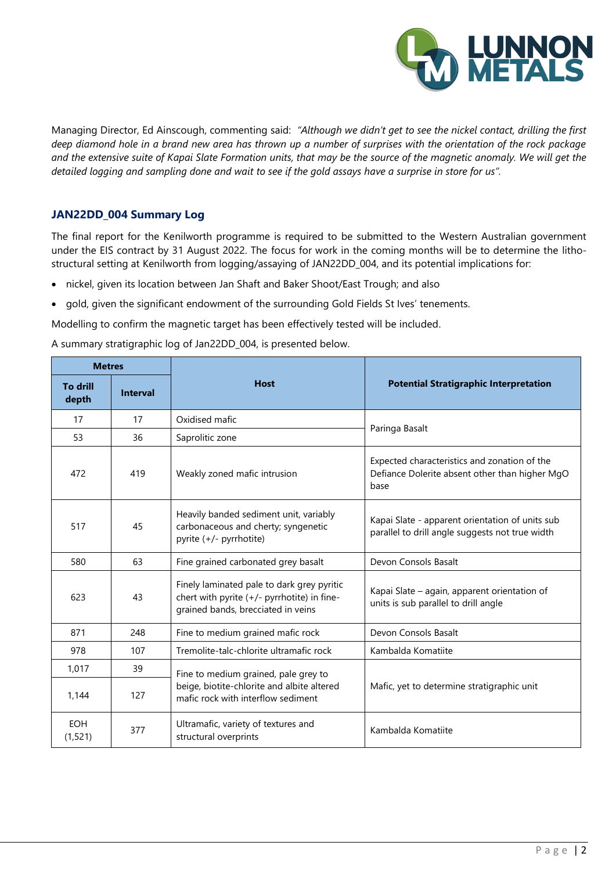

Managing Director, Ed Ainscough, commenting said: *"Although we didn't get to see the nickel contact, drilling the first deep diamond hole in a brand new area has thrown up a number of surprises with the orientation of the rock package and the extensive suite of Kapai Slate Formation units, that may be the source of the magnetic anomaly. We will get the detailed logging and sampling done and wait to see if the gold assays have a surprise in store for us".*

## **JAN22DD\_004 Summary Log**

The final report for the Kenilworth programme is required to be submitted to the Western Australian government under the EIS contract by 31 August 2022. The focus for work in the coming months will be to determine the lithostructural setting at Kenilworth from logging/assaying of JAN22DD\_004, and its potential implications for:

- nickel, given its location between Jan Shaft and Baker Shoot/East Trough; and also
- gold, given the significant endowment of the surrounding Gold Fields St Ives' tenements.

Modelling to confirm the magnetic target has been effectively tested will be included.

A summary stratigraphic log of Jan22DD\_004, is presented below.

| <b>Metres</b>            |                 |                                                                                                                                 |                                                                                                        |  |
|--------------------------|-----------------|---------------------------------------------------------------------------------------------------------------------------------|--------------------------------------------------------------------------------------------------------|--|
| <b>To drill</b><br>depth | <b>Interval</b> | <b>Host</b>                                                                                                                     | <b>Potential Stratigraphic Interpretation</b>                                                          |  |
| 17                       | 17              | Oxidised mafic                                                                                                                  | Paringa Basalt                                                                                         |  |
| 53                       | 36              | Saprolitic zone                                                                                                                 |                                                                                                        |  |
| 472                      | 419             | Weakly zoned mafic intrusion                                                                                                    | Expected characteristics and zonation of the<br>Defiance Dolerite absent other than higher MgO<br>base |  |
| 517                      | 45              | Heavily banded sediment unit, variably<br>carbonaceous and cherty; syngenetic<br>pyrite (+/- pyrrhotite)                        | Kapai Slate - apparent orientation of units sub<br>parallel to drill angle suggests not true width     |  |
| 580                      | 63              | Fine grained carbonated grey basalt                                                                                             | Devon Consols Basalt                                                                                   |  |
| 623                      | 43              | Finely laminated pale to dark grey pyritic<br>chert with pyrite (+/- pyrrhotite) in fine-<br>grained bands, brecciated in veins | Kapai Slate - again, apparent orientation of<br>units is sub parallel to drill angle                   |  |
| 871                      | 248             | Fine to medium grained mafic rock                                                                                               | Devon Consols Basalt                                                                                   |  |
| 978                      | 107             | Tremolite-talc-chlorite ultramafic rock                                                                                         | Kambalda Komatiite                                                                                     |  |
| 1,017                    | 39              | Fine to medium grained, pale grey to                                                                                            |                                                                                                        |  |
| 1,144                    | 127             | beige, biotite-chlorite and albite altered<br>mafic rock with interflow sediment                                                | Mafic, yet to determine stratigraphic unit                                                             |  |
| <b>EOH</b><br>(1,521)    | 377             | Ultramafic, variety of textures and<br>structural overprints                                                                    | Kambalda Komatiite                                                                                     |  |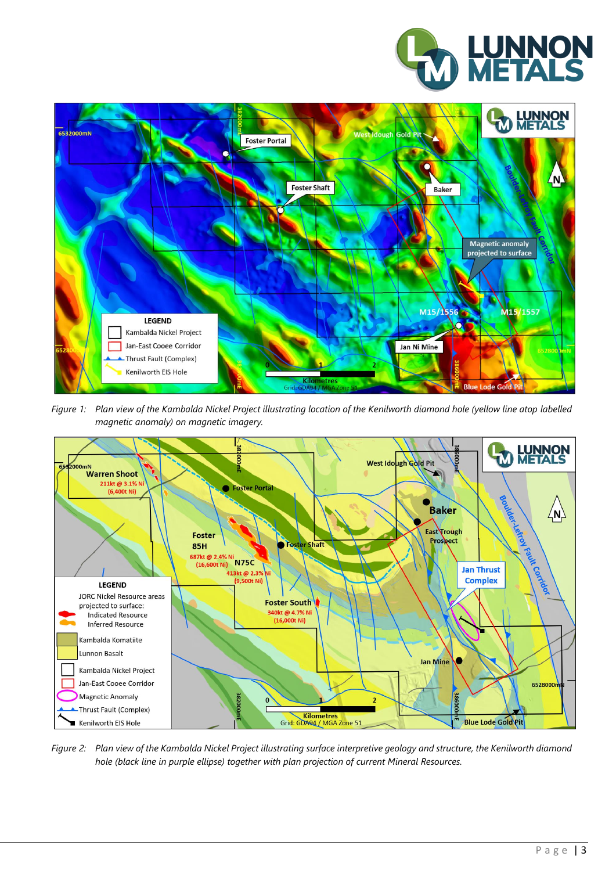



*Figure 1: Plan view of the Kambalda Nickel Project illustrating location of the Kenilworth diamond hole (yellow line atop labelled magnetic anomaly) on magnetic imagery.*



*Figure 2: Plan view of the Kambalda Nickel Project illustrating surface interpretive geology and structure, the Kenilworth diamond hole (black line in purple ellipse) together with plan projection of current Mineral Resources.*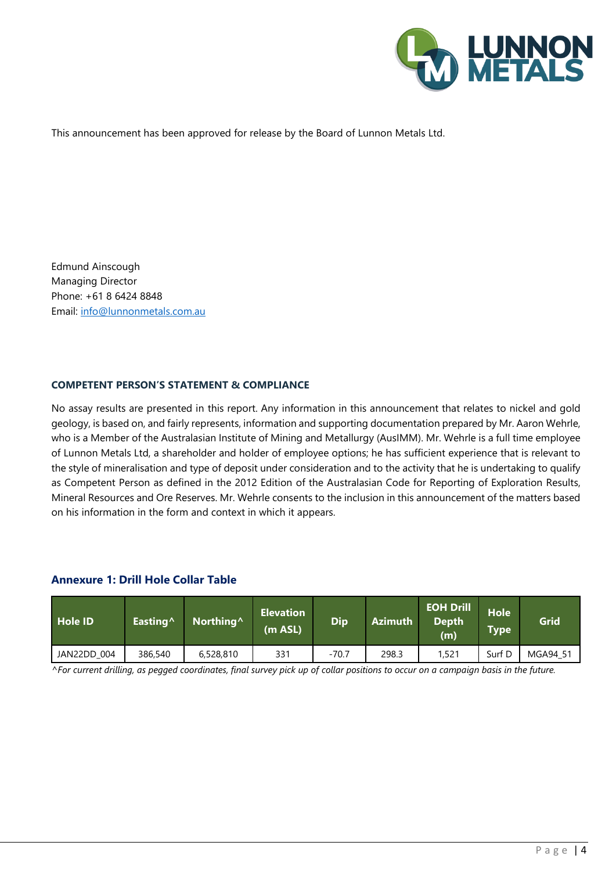

This announcement has been approved for release by the Board of Lunnon Metals Ltd.

Edmund Ainscough Managing Director Phone: +61 8 6424 8848 Email: [info@lunnonmetals.com.au](mailto:info@lunnonmetals.com.au)

#### **COMPETENT PERSON'S STATEMENT & COMPLIANCE**

No assay results are presented in this report. Any information in this announcement that relates to nickel and gold geology, is based on, and fairly represents, information and supporting documentation prepared by Mr. Aaron Wehrle, who is a Member of the Australasian Institute of Mining and Metallurgy (AusIMM). Mr. Wehrle is a full time employee of Lunnon Metals Ltd, a shareholder and holder of employee options; he has sufficient experience that is relevant to the style of mineralisation and type of deposit under consideration and to the activity that he is undertaking to qualify as Competent Person as defined in the 2012 Edition of the Australasian Code for Reporting of Exploration Results, Mineral Resources and Ore Reserves. Mr. Wehrle consents to the inclusion in this announcement of the matters based on his information in the form and context in which it appears.

#### **Annexure 1: Drill Hole Collar Table**

| Hole ID            | Easting <sup>^</sup> | Northing <sup>^</sup> | <b>Elevation</b><br>(m ASL) | <b>Dip</b> | <b>Azimuth</b> | <b>EOH Drill</b><br><b>Depth</b><br>(m) | <b>Hole</b><br><b>Type</b> | Grid     |
|--------------------|----------------------|-----------------------|-----------------------------|------------|----------------|-----------------------------------------|----------------------------|----------|
| <b>JAN22DD 004</b> | 386,540              | 6,528,810             | 331                         | $-70.7$    | 298.3          | 1,521                                   | Surf D                     | MGA94 51 |

*^For current drilling, as pegged coordinates, final survey pick up of collar positions to occur on a campaign basis in the future.*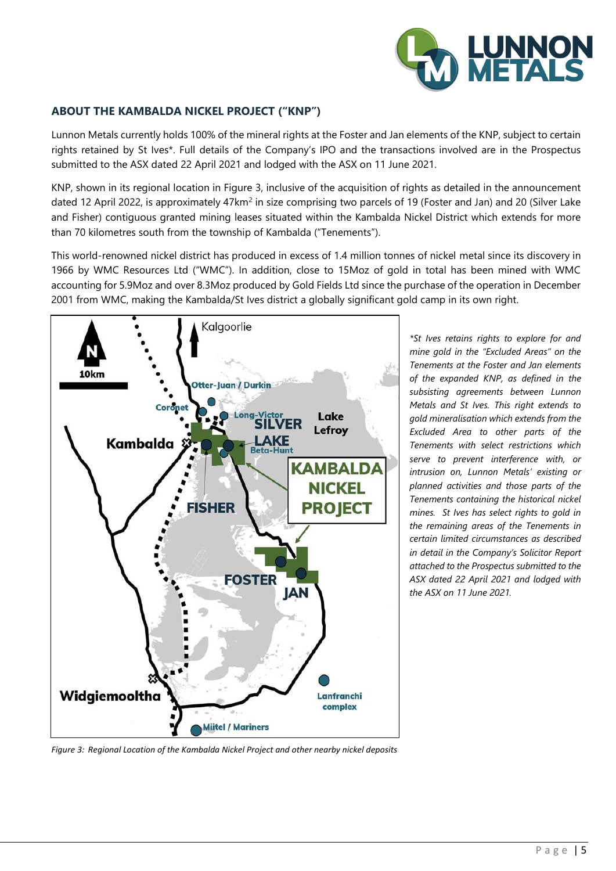

### **ABOUT THE KAMBALDA NICKEL PROJECT ("KNP")**

Lunnon Metals currently holds 100% of the mineral rights at the Foster and Jan elements of the KNP, subject to certain rights retained by St Ives\*. Full details of the Company's IPO and the transactions involved are in the Prospectus submitted to the ASX dated 22 April 2021 and lodged with the ASX on 11 June 2021.

KNP, shown in its regional location in Figure 3, inclusive of the acquisition of rights as detailed in the announcement dated 12 April 2022, is approximately 47km<sup>2</sup> in size comprising two parcels of 19 (Foster and Jan) and 20 (Silver Lake and Fisher) contiguous granted mining leases situated within the Kambalda Nickel District which extends for more than 70 kilometres south from the township of Kambalda ("Tenements").

This world-renowned nickel district has produced in excess of 1.4 million tonnes of nickel metal since its discovery in 1966 by WMC Resources Ltd ("WMC"). In addition, close to 15Moz of gold in total has been mined with WMC accounting for 5.9Moz and over 8.3Moz produced by Gold Fields Ltd since the purchase of the operation in December 2001 from WMC, making the Kambalda/St Ives district a globally significant gold camp in its own right.



*\*St Ives retains rights to explore for and mine gold in the "Excluded Areas" on the Tenements at the Foster and Jan elements of the expanded KNP, as defined in the subsisting agreements between Lunnon Metals and St Ives. This right extends to gold mineralisation which extends from the Excluded Area to other parts of the Tenements with select restrictions which serve to prevent interference with, or intrusion on, Lunnon Metals' existing or planned activities and those parts of the Tenements containing the historical nickel mines. St Ives has select rights to gold in the remaining areas of the Tenements in certain limited circumstances as described in detail in the Company's Solicitor Report attached to the Prospectus submitted to the ASX dated 22 April 2021 and lodged with the ASX on 11 June 2021.*

*Figure 3: Regional Location of the Kambalda Nickel Project and other nearby nickel deposits*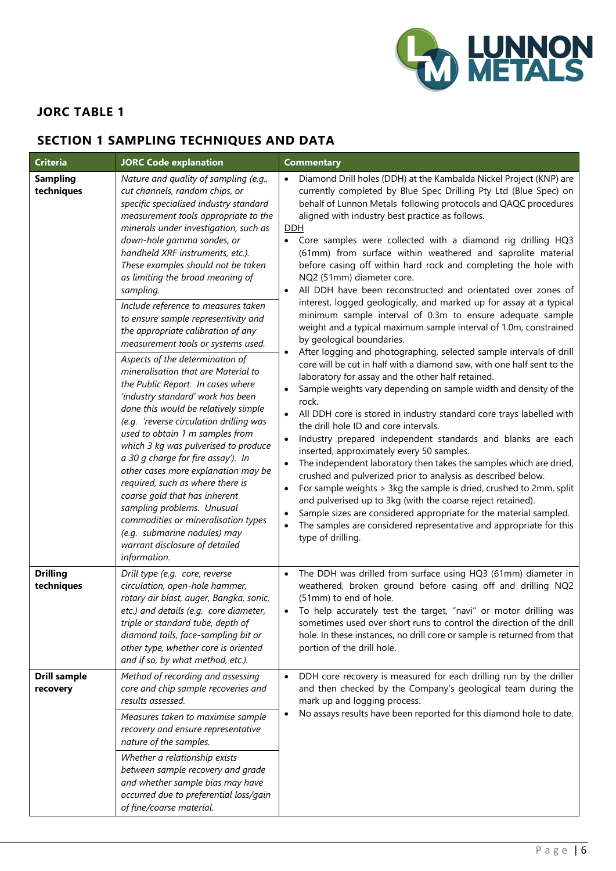

## **JORC TABLE 1**

# **SECTION 1 SAMPLING TECHNIQUES AND DATA**

| <b>Criteria</b>                 | <b>JORC Code explanation</b>                                                                                                                                                                                                                                                                                                                                                                                                                                                                                                                                                                                                                                                                                                                                                                                                                                                                                                                                                                                                                                                                                                                     | <b>Commentary</b>                                                                                                                                                                                                                                                                                                                                                                                                                                                                                                                                                                                                                                                                                                                                                                                                                                                                                                                                                                                                                                                                                                                                                                                                                                                                                                                                                                                                                                                                                                                                                                                                                                                                                                                                                                                                 |
|---------------------------------|--------------------------------------------------------------------------------------------------------------------------------------------------------------------------------------------------------------------------------------------------------------------------------------------------------------------------------------------------------------------------------------------------------------------------------------------------------------------------------------------------------------------------------------------------------------------------------------------------------------------------------------------------------------------------------------------------------------------------------------------------------------------------------------------------------------------------------------------------------------------------------------------------------------------------------------------------------------------------------------------------------------------------------------------------------------------------------------------------------------------------------------------------|-------------------------------------------------------------------------------------------------------------------------------------------------------------------------------------------------------------------------------------------------------------------------------------------------------------------------------------------------------------------------------------------------------------------------------------------------------------------------------------------------------------------------------------------------------------------------------------------------------------------------------------------------------------------------------------------------------------------------------------------------------------------------------------------------------------------------------------------------------------------------------------------------------------------------------------------------------------------------------------------------------------------------------------------------------------------------------------------------------------------------------------------------------------------------------------------------------------------------------------------------------------------------------------------------------------------------------------------------------------------------------------------------------------------------------------------------------------------------------------------------------------------------------------------------------------------------------------------------------------------------------------------------------------------------------------------------------------------------------------------------------------------------------------------------------------------|
| <b>Sampling</b><br>techniques   | Nature and quality of sampling (e.g.,<br>cut channels, random chips, or<br>specific specialised industry standard<br>measurement tools appropriate to the<br>minerals under investigation, such as<br>down-hole gamma sondes, or<br>handheld XRF instruments, etc.).<br>These examples should not be taken<br>as limiting the broad meaning of<br>sampling.<br>Include reference to measures taken<br>to ensure sample representivity and<br>the appropriate calibration of any<br>measurement tools or systems used.<br>Aspects of the determination of<br>mineralisation that are Material to<br>the Public Report. In cases where<br>'industry standard' work has been<br>done this would be relatively simple<br>(e.g. 'reverse circulation drilling was<br>used to obtain 1 m samples from<br>which 3 kg was pulverised to produce<br>a 30 g charge for fire assay'). In<br>other cases more explanation may be<br>required, such as where there is<br>coarse gold that has inherent<br>sampling problems. Unusual<br>commodities or mineralisation types<br>(e.g. submarine nodules) may<br>warrant disclosure of detailed<br>information. | Diamond Drill holes (DDH) at the Kambalda Nickel Project (KNP) are<br>$\bullet$<br>currently completed by Blue Spec Drilling Pty Ltd (Blue Spec) on<br>behalf of Lunnon Metals following protocols and QAQC procedures<br>aligned with industry best practice as follows.<br><b>DDH</b><br>Core samples were collected with a diamond rig drilling HQ3<br>(61mm) from surface within weathered and saprolite material<br>before casing off within hard rock and completing the hole with<br>NQ2 (51mm) diameter core.<br>All DDH have been reconstructed and orientated over zones of<br>interest, logged geologically, and marked up for assay at a typical<br>minimum sample interval of 0.3m to ensure adequate sample<br>weight and a typical maximum sample interval of 1.0m, constrained<br>by geological boundaries.<br>After logging and photographing, selected sample intervals of drill<br>$\bullet$<br>core will be cut in half with a diamond saw, with one half sent to the<br>laboratory for assay and the other half retained.<br>Sample weights vary depending on sample width and density of the<br>rock.<br>All DDH core is stored in industry standard core trays labelled with<br>the drill hole ID and core intervals.<br>Industry prepared independent standards and blanks are each<br>inserted, approximately every 50 samples.<br>The independent laboratory then takes the samples which are dried,<br>crushed and pulverized prior to analysis as described below.<br>For sample weights > 3kg the sample is dried, crushed to 2mm, split<br>$\bullet$<br>and pulverised up to 3kg (with the coarse reject retained).<br>Sample sizes are considered appropriate for the material sampled.<br>The samples are considered representative and appropriate for this<br>type of drilling. |
| <b>Drilling</b><br>techniques   | Drill type (e.g. core, reverse<br>circulation, open-hole hammer,<br>rotary air blast, auger, Bangka, sonic,<br>etc.) and details (e.g. core diameter,<br>triple or standard tube, depth of<br>diamond tails, face-sampling bit or<br>other type, whether core is oriented<br>and if so, by what method, etc.).                                                                                                                                                                                                                                                                                                                                                                                                                                                                                                                                                                                                                                                                                                                                                                                                                                   | The DDH was drilled from surface using HQ3 (61mm) diameter in<br>weathered, broken ground before casing off and drilling NQ2<br>(51mm) to end of hole.<br>To help accurately test the target, "navi" or motor drilling was<br>$\bullet$<br>sometimes used over short runs to control the direction of the drill<br>hole. In these instances, no drill core or sample is returned from that<br>portion of the drill hole.                                                                                                                                                                                                                                                                                                                                                                                                                                                                                                                                                                                                                                                                                                                                                                                                                                                                                                                                                                                                                                                                                                                                                                                                                                                                                                                                                                                          |
| <b>Drill sample</b><br>recovery | Method of recording and assessing<br>core and chip sample recoveries and<br>results assessed.<br>Measures taken to maximise sample<br>recovery and ensure representative<br>nature of the samples.<br>Whether a relationship exists<br>between sample recovery and grade<br>and whether sample bias may have<br>occurred due to preferential loss/gain<br>of fine/coarse material.                                                                                                                                                                                                                                                                                                                                                                                                                                                                                                                                                                                                                                                                                                                                                               | DDH core recovery is measured for each drilling run by the driller<br>$\bullet$<br>and then checked by the Company's geological team during the<br>mark up and logging process.<br>No assays results have been reported for this diamond hole to date.<br>$\bullet$                                                                                                                                                                                                                                                                                                                                                                                                                                                                                                                                                                                                                                                                                                                                                                                                                                                                                                                                                                                                                                                                                                                                                                                                                                                                                                                                                                                                                                                                                                                                               |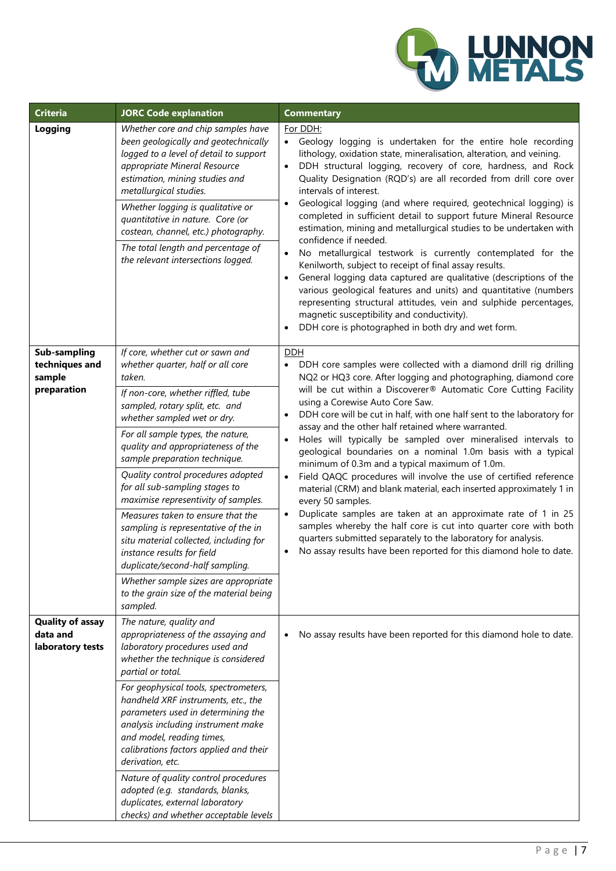

| <b>Criteria</b>                                         | <b>JORC Code explanation</b>                                                                                                                                                                                                                                                                                                                                                                                                                                                                                                                                                                                                                                                                              | <b>Commentary</b>                                                                                                                                                                                                                                                                                                                                                                                                                                                                                                                                                                                                                                                                                                                                                                                                                                                                                                                                                                                                                                                                         |
|---------------------------------------------------------|-----------------------------------------------------------------------------------------------------------------------------------------------------------------------------------------------------------------------------------------------------------------------------------------------------------------------------------------------------------------------------------------------------------------------------------------------------------------------------------------------------------------------------------------------------------------------------------------------------------------------------------------------------------------------------------------------------------|-------------------------------------------------------------------------------------------------------------------------------------------------------------------------------------------------------------------------------------------------------------------------------------------------------------------------------------------------------------------------------------------------------------------------------------------------------------------------------------------------------------------------------------------------------------------------------------------------------------------------------------------------------------------------------------------------------------------------------------------------------------------------------------------------------------------------------------------------------------------------------------------------------------------------------------------------------------------------------------------------------------------------------------------------------------------------------------------|
| Logging                                                 | Whether core and chip samples have<br>been geologically and geotechnically<br>logged to a level of detail to support<br>appropriate Mineral Resource<br>estimation, mining studies and<br>metallurgical studies.<br>Whether logging is qualitative or<br>quantitative in nature. Core (or<br>costean, channel, etc.) photography.<br>The total length and percentage of<br>the relevant intersections logged.                                                                                                                                                                                                                                                                                             | For DDH:<br>Geology logging is undertaken for the entire hole recording<br>lithology, oxidation state, mineralisation, alteration, and veining.<br>DDH structural logging, recovery of core, hardness, and Rock<br>$\bullet$<br>Quality Designation (RQD's) are all recorded from drill core over<br>intervals of interest.<br>Geological logging (and where required, geotechnical logging) is<br>$\bullet$<br>completed in sufficient detail to support future Mineral Resource<br>estimation, mining and metallurgical studies to be undertaken with<br>confidence if needed.<br>No metallurgical testwork is currently contemplated for the<br>$\bullet$<br>Kenilworth, subject to receipt of final assay results.<br>General logging data captured are qualitative (descriptions of the<br>$\bullet$<br>various geological features and units) and quantitative (numbers<br>representing structural attitudes, vein and sulphide percentages,<br>magnetic susceptibility and conductivity).<br>DDH core is photographed in both dry and wet form.                                    |
| Sub-sampling<br>techniques and<br>sample<br>preparation | If core, whether cut or sawn and<br>whether quarter, half or all core<br>taken.<br>If non-core, whether riffled, tube<br>sampled, rotary split, etc. and<br>whether sampled wet or dry.<br>For all sample types, the nature,<br>quality and appropriateness of the<br>sample preparation technique.<br>Quality control procedures adopted<br>for all sub-sampling stages to<br>maximise representivity of samples.<br>Measures taken to ensure that the<br>sampling is representative of the in<br>situ material collected, including for<br>instance results for field<br>duplicate/second-half sampling.<br>Whether sample sizes are appropriate<br>to the grain size of the material being<br>sampled. | <u>DDH</u><br>DDH core samples were collected with a diamond drill rig drilling<br>NQ2 or HQ3 core. After logging and photographing, diamond core<br>will be cut within a Discoverer® Automatic Core Cutting Facility<br>using a Corewise Auto Core Saw.<br>DDH core will be cut in half, with one half sent to the laboratory for<br>$\bullet$<br>assay and the other half retained where warranted.<br>Holes will typically be sampled over mineralised intervals to<br>$\bullet$<br>geological boundaries on a nominal 1.0m basis with a typical<br>minimum of 0.3m and a typical maximum of 1.0m.<br>Field QAQC procedures will involve the use of certified reference<br>$\bullet$<br>material (CRM) and blank material, each inserted approximately 1 in<br>every 50 samples.<br>Duplicate samples are taken at an approximate rate of 1 in 25<br>$\bullet$<br>samples whereby the half core is cut into quarter core with both<br>quarters submitted separately to the laboratory for analysis.<br>No assay results have been reported for this diamond hole to date.<br>$\bullet$ |
| <b>Quality of assay</b><br>data and<br>laboratory tests | The nature, quality and<br>appropriateness of the assaying and<br>laboratory procedures used and<br>whether the technique is considered<br>partial or total.<br>For geophysical tools, spectrometers,<br>handheld XRF instruments, etc., the<br>parameters used in determining the<br>analysis including instrument make<br>and model, reading times,<br>calibrations factors applied and their<br>derivation, etc.<br>Nature of quality control procedures<br>adopted (e.g. standards, blanks,<br>duplicates, external laboratory<br>checks) and whether acceptable levels                                                                                                                               | No assay results have been reported for this diamond hole to date.                                                                                                                                                                                                                                                                                                                                                                                                                                                                                                                                                                                                                                                                                                                                                                                                                                                                                                                                                                                                                        |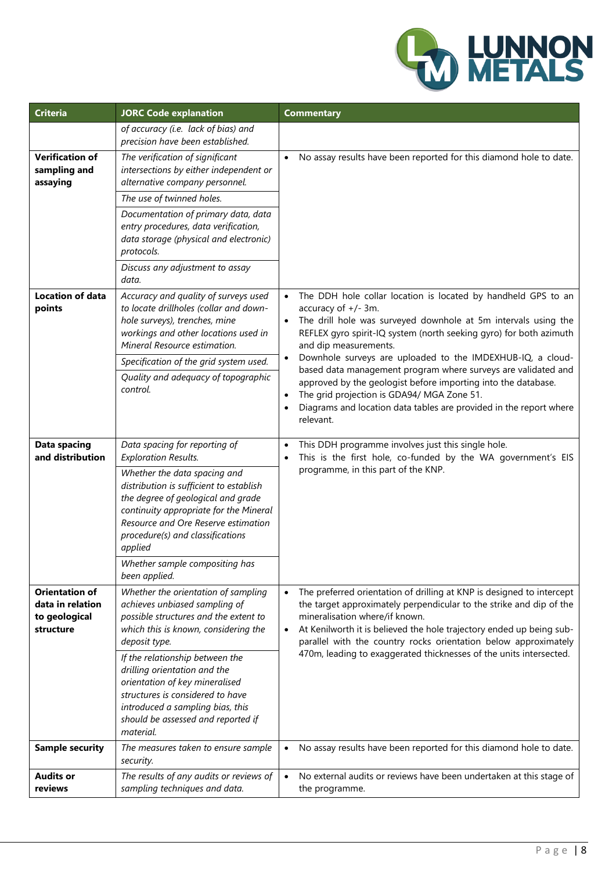

| <b>Criteria</b>                                                         | <b>JORC Code explanation</b>                                                                                                                                                                                                                                                                                                                    | <b>Commentary</b>                                                                                                                                                                                                                                                                                                                                   |  |  |
|-------------------------------------------------------------------------|-------------------------------------------------------------------------------------------------------------------------------------------------------------------------------------------------------------------------------------------------------------------------------------------------------------------------------------------------|-----------------------------------------------------------------------------------------------------------------------------------------------------------------------------------------------------------------------------------------------------------------------------------------------------------------------------------------------------|--|--|
|                                                                         | of accuracy (i.e. lack of bias) and<br>precision have been established.                                                                                                                                                                                                                                                                         |                                                                                                                                                                                                                                                                                                                                                     |  |  |
| <b>Verification of</b><br>sampling and<br>assaying                      | The verification of significant<br>intersections by either independent or<br>alternative company personnel.                                                                                                                                                                                                                                     | • No assay results have been reported for this diamond hole to date.                                                                                                                                                                                                                                                                                |  |  |
|                                                                         | The use of twinned holes.                                                                                                                                                                                                                                                                                                                       |                                                                                                                                                                                                                                                                                                                                                     |  |  |
|                                                                         | Documentation of primary data, data<br>entry procedures, data verification,<br>data storage (physical and electronic)<br>protocols.                                                                                                                                                                                                             |                                                                                                                                                                                                                                                                                                                                                     |  |  |
|                                                                         | Discuss any adjustment to assay<br>data.                                                                                                                                                                                                                                                                                                        |                                                                                                                                                                                                                                                                                                                                                     |  |  |
| Location of data<br>points                                              | Accuracy and quality of surveys used<br>to locate drillholes (collar and down-<br>hole surveys), trenches, mine<br>workings and other locations used in<br>Mineral Resource estimation.                                                                                                                                                         | The DDH hole collar location is located by handheld GPS to an<br>$\bullet$<br>accuracy of +/- 3m.<br>The drill hole was surveyed downhole at 5m intervals using the<br>$\bullet$<br>REFLEX gyro spirit-IQ system (north seeking gyro) for both azimuth<br>and dip measurements.                                                                     |  |  |
|                                                                         | Specification of the grid system used.                                                                                                                                                                                                                                                                                                          | Downhole surveys are uploaded to the IMDEXHUB-IQ, a cloud-<br>$\bullet$<br>based data management program where surveys are validated and                                                                                                                                                                                                            |  |  |
|                                                                         | Quality and adequacy of topographic<br>control.                                                                                                                                                                                                                                                                                                 | approved by the geologist before importing into the database.<br>The grid projection is GDA94/ MGA Zone 51.<br>$\bullet$<br>Diagrams and location data tables are provided in the report where<br>relevant.                                                                                                                                         |  |  |
| <b>Data spacing</b><br>and distribution                                 | Data spacing for reporting of<br><b>Exploration Results.</b><br>Whether the data spacing and<br>distribution is sufficient to establish<br>the degree of geological and grade<br>continuity appropriate for the Mineral<br>Resource and Ore Reserve estimation<br>procedure(s) and classifications<br>applied<br>Whether sample compositing has | This DDH programme involves just this single hole.<br>$\bullet$<br>This is the first hole, co-funded by the WA government's EIS<br>٠<br>programme, in this part of the KNP.                                                                                                                                                                         |  |  |
|                                                                         | been applied.                                                                                                                                                                                                                                                                                                                                   |                                                                                                                                                                                                                                                                                                                                                     |  |  |
| <b>Orientation of</b><br>data in relation<br>to geological<br>structure | Whether the orientation of sampling<br>achieves unbiased sampling of<br>possible structures and the extent to<br>which this is known, considering the<br>deposit type.                                                                                                                                                                          | The preferred orientation of drilling at KNP is designed to intercept<br>$\bullet$<br>the target approximately perpendicular to the strike and dip of the<br>mineralisation where/if known.<br>At Kenilworth it is believed the hole trajectory ended up being sub-<br>$\bullet$<br>parallel with the country rocks orientation below approximately |  |  |
|                                                                         | If the relationship between the<br>drilling orientation and the<br>orientation of key mineralised<br>structures is considered to have<br>introduced a sampling bias, this<br>should be assessed and reported if<br>material.                                                                                                                    | 470m, leading to exaggerated thicknesses of the units intersected.                                                                                                                                                                                                                                                                                  |  |  |
| <b>Sample security</b>                                                  | The measures taken to ensure sample<br>security.                                                                                                                                                                                                                                                                                                | No assay results have been reported for this diamond hole to date.<br>$\bullet$                                                                                                                                                                                                                                                                     |  |  |
| <b>Audits or</b><br>reviews                                             | The results of any audits or reviews of<br>sampling techniques and data.                                                                                                                                                                                                                                                                        | No external audits or reviews have been undertaken at this stage of<br>$\bullet$<br>the programme.                                                                                                                                                                                                                                                  |  |  |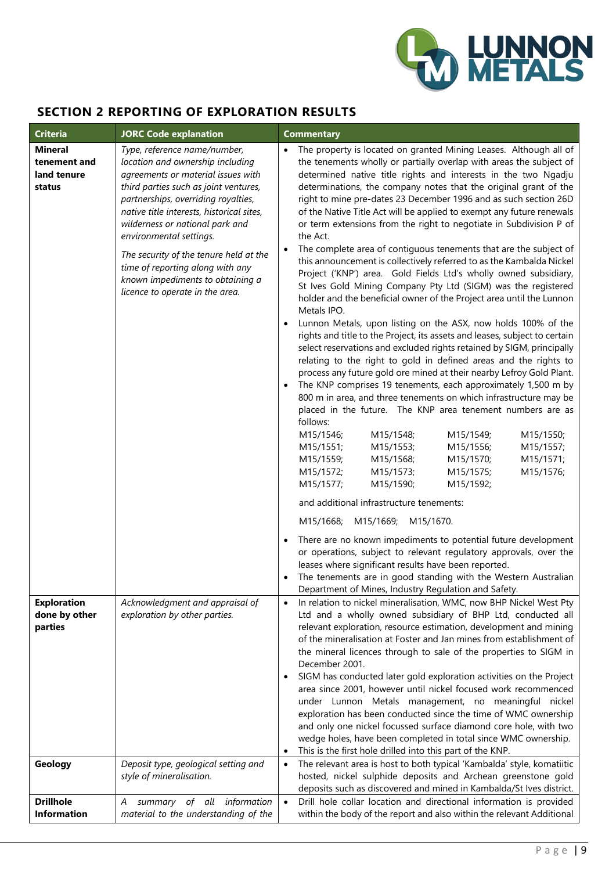

## **SECTION 2 REPORTING OF EXPLORATION RESULTS**

| <b>Criteria</b>                                         | <b>JORC Code explanation</b>                                                                                                                                                                                                                                                                                                                                                                                                                           | <b>Commentary</b>                                                                                                                                                                                                                                                                                                                                                                                                                                                                                                                                                                                                                                                                                                                                                                                                                                                                                                                                                                                                                                                                                                                                                                                                                                                                                                                                                                                                                                                                                                                                                                                                                                                                                                                                                                                                                                                                                                                                                                                                                                                                                  |
|---------------------------------------------------------|--------------------------------------------------------------------------------------------------------------------------------------------------------------------------------------------------------------------------------------------------------------------------------------------------------------------------------------------------------------------------------------------------------------------------------------------------------|----------------------------------------------------------------------------------------------------------------------------------------------------------------------------------------------------------------------------------------------------------------------------------------------------------------------------------------------------------------------------------------------------------------------------------------------------------------------------------------------------------------------------------------------------------------------------------------------------------------------------------------------------------------------------------------------------------------------------------------------------------------------------------------------------------------------------------------------------------------------------------------------------------------------------------------------------------------------------------------------------------------------------------------------------------------------------------------------------------------------------------------------------------------------------------------------------------------------------------------------------------------------------------------------------------------------------------------------------------------------------------------------------------------------------------------------------------------------------------------------------------------------------------------------------------------------------------------------------------------------------------------------------------------------------------------------------------------------------------------------------------------------------------------------------------------------------------------------------------------------------------------------------------------------------------------------------------------------------------------------------------------------------------------------------------------------------------------------------|
| <b>Mineral</b><br>tenement and<br>land tenure<br>status | Type, reference name/number,<br>location and ownership including<br>agreements or material issues with<br>third parties such as joint ventures,<br>partnerships, overriding royalties,<br>native title interests, historical sites,<br>wilderness or national park and<br>environmental settings.<br>The security of the tenure held at the<br>time of reporting along with any<br>known impediments to obtaining a<br>licence to operate in the area. | The property is located on granted Mining Leases. Although all of<br>$\bullet$<br>the tenements wholly or partially overlap with areas the subject of<br>determined native title rights and interests in the two Ngadju<br>determinations, the company notes that the original grant of the<br>right to mine pre-dates 23 December 1996 and as such section 26D<br>of the Native Title Act will be applied to exempt any future renewals<br>or term extensions from the right to negotiate in Subdivision P of<br>the Act.<br>The complete area of contiguous tenements that are the subject of<br>this announcement is collectively referred to as the Kambalda Nickel<br>Project ('KNP') area. Gold Fields Ltd's wholly owned subsidiary,<br>St Ives Gold Mining Company Pty Ltd (SIGM) was the registered<br>holder and the beneficial owner of the Project area until the Lunnon<br>Metals IPO.<br>Lunnon Metals, upon listing on the ASX, now holds 100% of the<br>rights and title to the Project, its assets and leases, subject to certain<br>select reservations and excluded rights retained by SIGM, principally<br>relating to the right to gold in defined areas and the rights to<br>process any future gold ore mined at their nearby Lefroy Gold Plant.<br>The KNP comprises 19 tenements, each approximately 1,500 m by<br>800 m in area, and three tenements on which infrastructure may be<br>placed in the future. The KNP area tenement numbers are as<br>follows:<br>M15/1546;<br>M15/1548;<br>M15/1549;<br>M15/1550;<br>M15/1551;<br>M15/1553;<br>M15/1556;<br>M15/1557;<br>M15/1559;<br>M15/1568;<br>M15/1570;<br>M15/1571;<br>M15/1572;<br>M15/1573;<br>M15/1575;<br>M15/1576;<br>M15/1577;<br>M15/1590;<br>M15/1592;<br>and additional infrastructure tenements:<br>M15/1668;<br>M15/1669;<br>M15/1670.<br>There are no known impediments to potential future development<br>or operations, subject to relevant regulatory approvals, over the<br>leases where significant results have been reported.<br>The tenements are in good standing with the Western Australian |
| <b>Exploration</b>                                      | Acknowledgment and appraisal of                                                                                                                                                                                                                                                                                                                                                                                                                        | Department of Mines, Industry Regulation and Safety.<br>In relation to nickel mineralisation, WMC, now BHP Nickel West Pty                                                                                                                                                                                                                                                                                                                                                                                                                                                                                                                                                                                                                                                                                                                                                                                                                                                                                                                                                                                                                                                                                                                                                                                                                                                                                                                                                                                                                                                                                                                                                                                                                                                                                                                                                                                                                                                                                                                                                                         |
| done by other<br>parties                                | exploration by other parties.                                                                                                                                                                                                                                                                                                                                                                                                                          | Ltd and a wholly owned subsidiary of BHP Ltd, conducted all<br>relevant exploration, resource estimation, development and mining<br>of the mineralisation at Foster and Jan mines from establishment of<br>the mineral licences through to sale of the properties to SIGM in<br>December 2001.<br>SIGM has conducted later gold exploration activities on the Project<br>area since 2001, however until nickel focused work recommenced<br>under Lunnon Metals management, no meaningful nickel<br>exploration has been conducted since the time of WMC ownership<br>and only one nickel focussed surface diamond core hole, with two<br>wedge holes, have been completed in total since WMC ownership.<br>This is the first hole drilled into this part of the KNP.<br>٠                                                                                                                                                                                                                                                                                                                                                                                                                                                                                                                                                                                                                                                                                                                                                                                                                                                                                                                                                                                                                                                                                                                                                                                                                                                                                                                          |
| Geology                                                 | Deposit type, geological setting and<br>style of mineralisation.                                                                                                                                                                                                                                                                                                                                                                                       | The relevant area is host to both typical 'Kambalda' style, komatiitic<br>$\bullet$<br>hosted, nickel sulphide deposits and Archean greenstone gold<br>deposits such as discovered and mined in Kambalda/St lves district.                                                                                                                                                                                                                                                                                                                                                                                                                                                                                                                                                                                                                                                                                                                                                                                                                                                                                                                                                                                                                                                                                                                                                                                                                                                                                                                                                                                                                                                                                                                                                                                                                                                                                                                                                                                                                                                                         |
| <b>Drillhole</b><br><b>Information</b>                  | summary of all information<br>A<br>material to the understanding of the                                                                                                                                                                                                                                                                                                                                                                                | Drill hole collar location and directional information is provided<br>$\bullet$<br>within the body of the report and also within the relevant Additional                                                                                                                                                                                                                                                                                                                                                                                                                                                                                                                                                                                                                                                                                                                                                                                                                                                                                                                                                                                                                                                                                                                                                                                                                                                                                                                                                                                                                                                                                                                                                                                                                                                                                                                                                                                                                                                                                                                                           |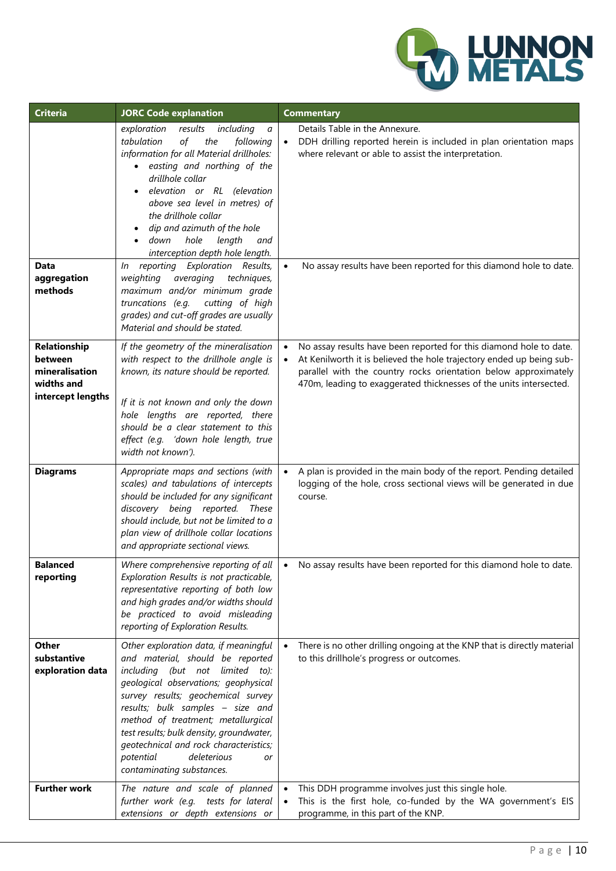

| <b>Criteria</b>                                                              | <b>JORC Code explanation</b>                                                                                                                                                                                                                                                                                                                                                                                              | <b>Commentary</b>                                                                                                                                                                                                                                                                   |
|------------------------------------------------------------------------------|---------------------------------------------------------------------------------------------------------------------------------------------------------------------------------------------------------------------------------------------------------------------------------------------------------------------------------------------------------------------------------------------------------------------------|-------------------------------------------------------------------------------------------------------------------------------------------------------------------------------------------------------------------------------------------------------------------------------------|
| Data                                                                         | exploration<br>results<br>including<br>a<br>tabulation<br>of<br>the<br>following<br>information for all Material drillholes:<br>easting and northing of the<br>drillhole collar<br>elevation or RL (elevation<br>above sea level in metres) of<br>the drillhole collar<br>dip and azimuth of the hole<br>hole<br>down<br>length<br>and<br>interception depth hole length.<br>reporting Exploration Results,<br>In         | Details Table in the Annexure.<br>DDH drilling reported herein is included in plan orientation maps<br>where relevant or able to assist the interpretation.<br>No assay results have been reported for this diamond hole to date.                                                   |
| aggregation<br>methods                                                       | averaging<br>weighting<br>techniques,<br>maximum and/or minimum grade<br>truncations (e.g.<br>cutting of high<br>grades) and cut-off grades are usually<br>Material and should be stated.                                                                                                                                                                                                                                 |                                                                                                                                                                                                                                                                                     |
| Relationship<br>between<br>mineralisation<br>widths and<br>intercept lengths | If the geometry of the mineralisation<br>with respect to the drillhole angle is<br>known, its nature should be reported.<br>If it is not known and only the down<br>hole lengths are reported, there<br>should be a clear statement to this<br>effect (e.g. 'down hole length, true<br>width not known').                                                                                                                 | No assay results have been reported for this diamond hole to date.<br>At Kenilworth it is believed the hole trajectory ended up being sub-<br>parallel with the country rocks orientation below approximately<br>470m, leading to exaggerated thicknesses of the units intersected. |
| <b>Diagrams</b>                                                              | Appropriate maps and sections (with<br>scales) and tabulations of intercepts<br>should be included for any significant<br>discovery being reported. These<br>should include, but not be limited to a<br>plan view of drillhole collar locations<br>and appropriate sectional views.                                                                                                                                       | A plan is provided in the main body of the report. Pending detailed<br>logging of the hole, cross sectional views will be generated in due<br>course.                                                                                                                               |
| <b>Balanced</b><br>reporting                                                 | Where comprehensive reporting of all<br>Exploration Results is not practicable,<br>representative reporting of both low<br>and high grades and/or widths should<br>be practiced to avoid misleading<br>reporting of Exploration Results.                                                                                                                                                                                  | No assay results have been reported for this diamond hole to date.                                                                                                                                                                                                                  |
| <b>Other</b><br>substantive<br>exploration data                              | Other exploration data, if meaningful<br>and material, should be reported<br>including (but not limited to):<br>geological observations; geophysical<br>survey results; geochemical survey<br>results; bulk samples - size and<br>method of treatment; metallurgical<br>test results; bulk density, groundwater,<br>geotechnical and rock characteristics;<br>deleterious<br>potential<br>or<br>contaminating substances. | There is no other drilling ongoing at the KNP that is directly material<br>to this drillhole's progress or outcomes.                                                                                                                                                                |
| <b>Further work</b>                                                          | The nature and scale of planned<br>further work (e.g. tests for lateral<br>extensions or depth extensions or                                                                                                                                                                                                                                                                                                              | This DDH programme involves just this single hole.<br>This is the first hole, co-funded by the WA government's EIS<br>programme, in this part of the KNP.                                                                                                                           |